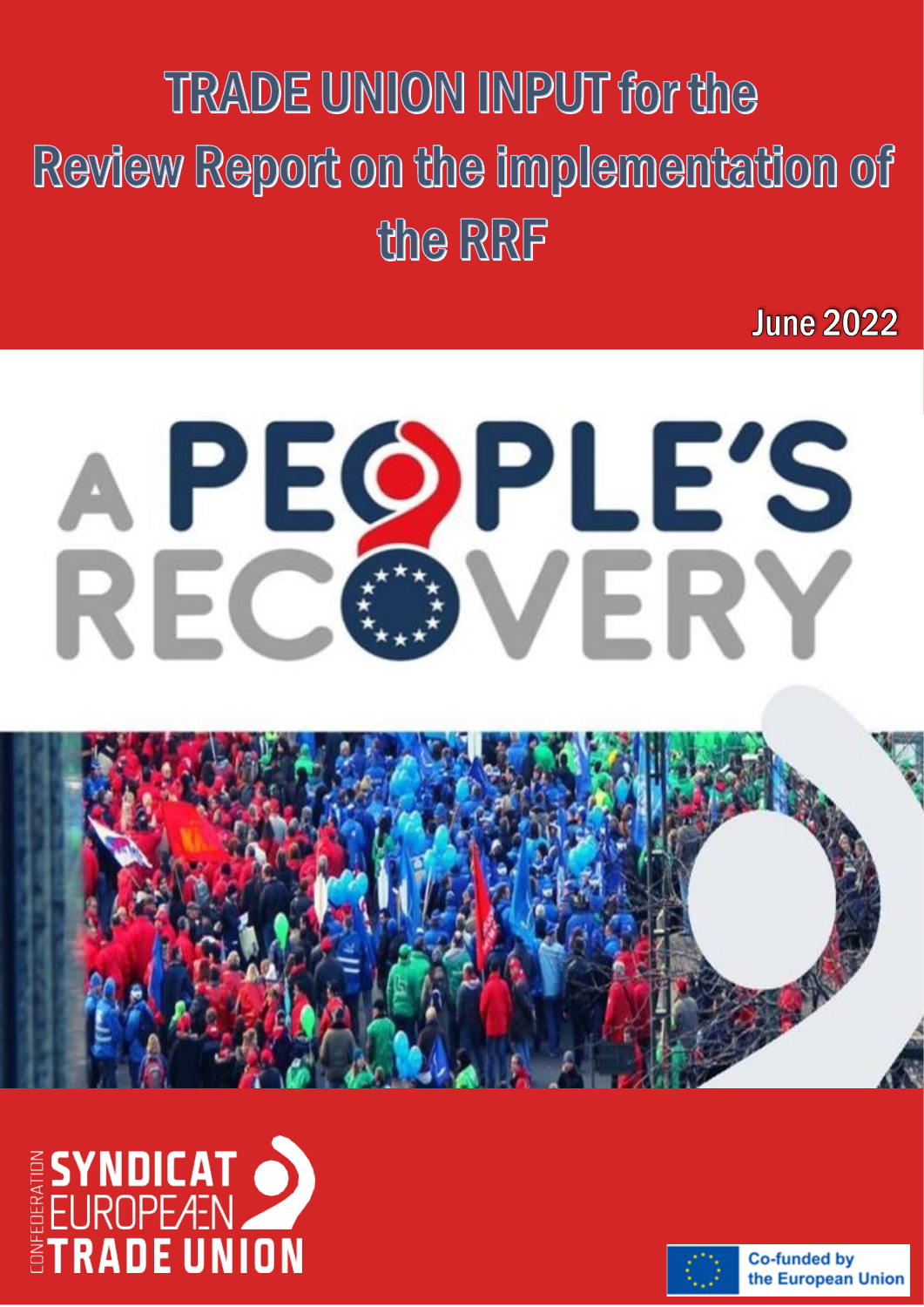TRADE UNION INPUT for the European Semester  $\overline{\phantom{a}}$ the RRF

**June 2022** 

# A PEQPLE'S RECO VERY





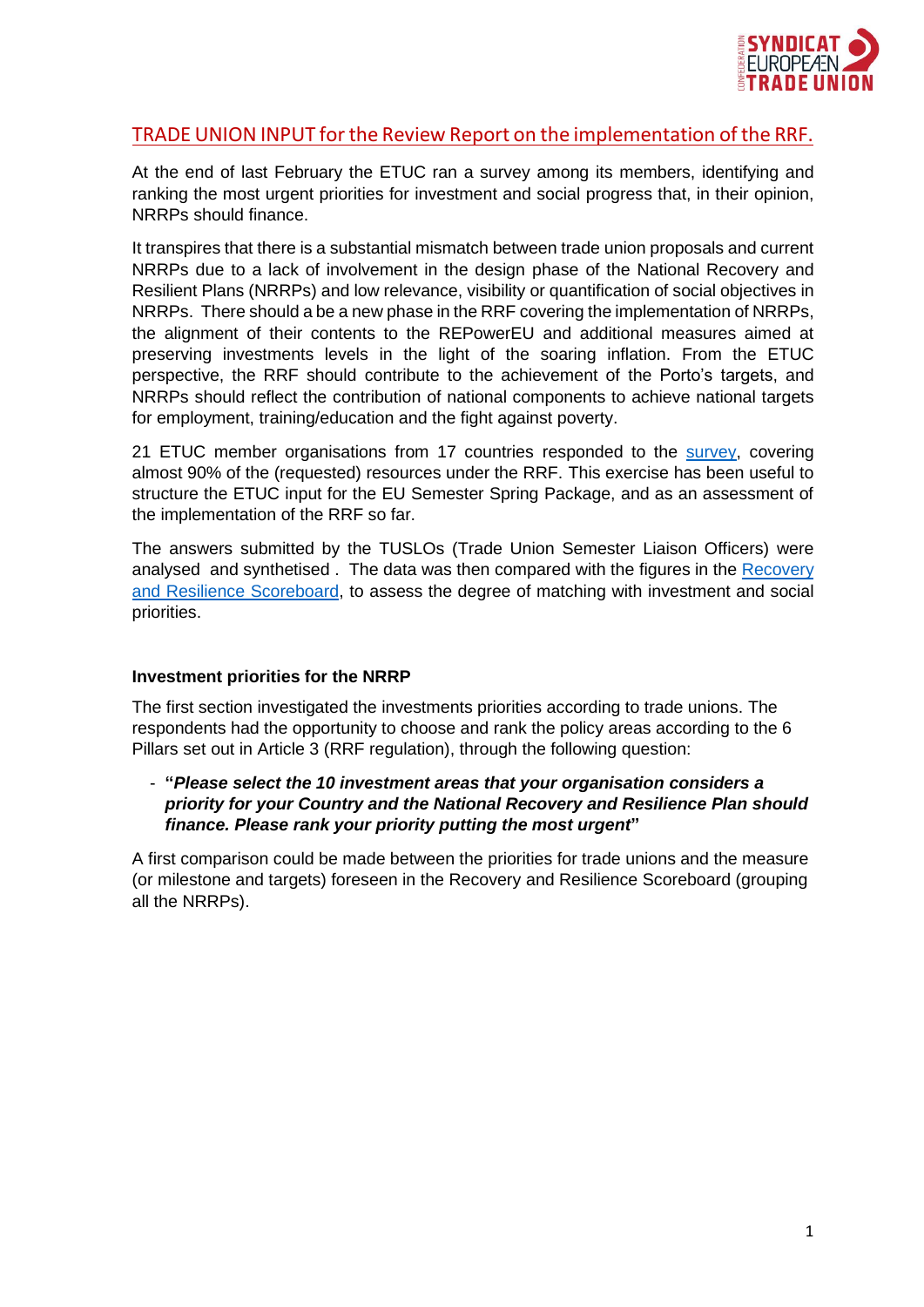

# TRADE UNION INPUT for the Review Report on the implementation of the RRF.

At the end of last February the ETUC ran a survey among its members, identifying and ranking the most urgent priorities for investment and social progress that, in their opinion, NRRPs should finance.

It transpires that there is a substantial mismatch between trade union proposals and current NRRPs due to a lack of involvement in the design phase of the National Recovery and Resilient Plans (NRRPs) and low relevance, visibility or quantification of social objectives in NRRPs. There should a be a new phase in the RRF covering the implementation of NRRPs, the alignment of their contents to the REPowerEU and additional measures aimed at preserving investments levels in the light of the soaring inflation. From the ETUC perspective, the RRF should contribute to the achievement of the Porto's targets, and NRRPs should reflect the contribution of national components to achieve national targets for employment, training/education and the fight against poverty.

21 ETUC member organisations from 17 countries responded to the [survey,](https://est.etuc.org/wp-content/uploads/2022/03/ETUC-inputs-Spring-Package-2022.pdf) covering almost 90% of the (requested) resources under the RRF. This exercise has been useful to structure the ETUC input for the EU Semester Spring Package, and as an assessment of the implementation of the RRF so far.

The answers submitted by the TUSLOs (Trade Union Semester Liaison Officers) were analysed and synthetised . The data was then compared with the figures in the [Recovery](https://ec.europa.eu/economy_finance/recovery-and-resilience-scoreboard/index.html?lang=en)  [and Resilience Scoreboard,](https://ec.europa.eu/economy_finance/recovery-and-resilience-scoreboard/index.html?lang=en) to assess the degree of matching with investment and social priorities.

#### **Investment priorities for the NRRP**

The first section investigated the investments priorities according to trade unions. The respondents had the opportunity to choose and rank the policy areas according to the 6 Pillars set out in Article 3 (RRF regulation), through the following question:

### - **"***Please select the 10 investment areas that your organisation considers a priority for your Country and the National Recovery and Resilience Plan should finance. Please rank your priority putting the most urgent***"**

A first comparison could be made between the priorities for trade unions and the measure (or milestone and targets) foreseen in the Recovery and Resilience Scoreboard (grouping all the NRRPs).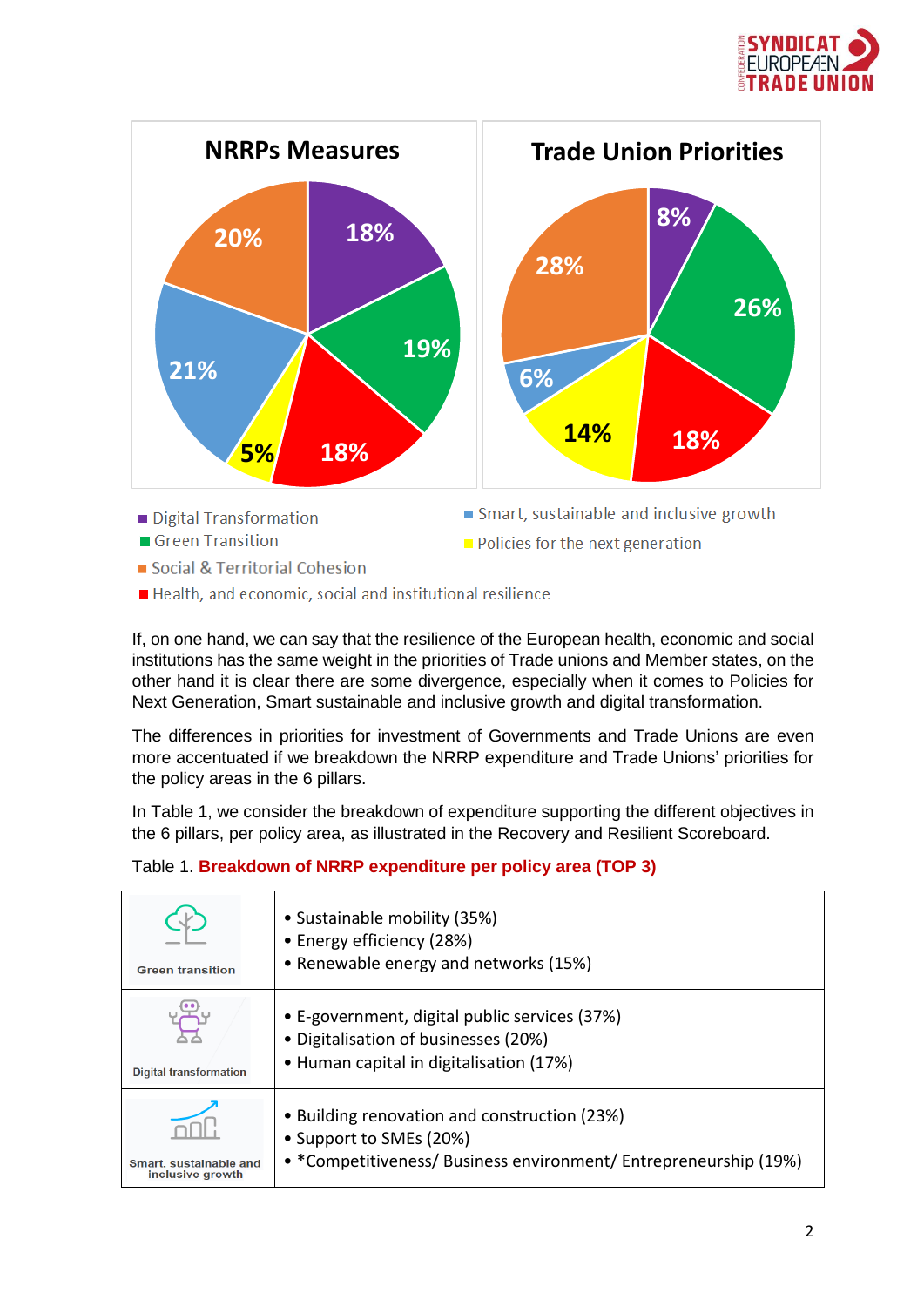



Health, and economic, social and institutional resilience

If, on one hand, we can say that the resilience of the European health, economic and social institutions has the same weight in the priorities of Trade unions and Member states, on the other hand it is clear there are some divergence, especially when it comes to Policies for Next Generation, Smart sustainable and inclusive growth and digital transformation.

The differences in priorities for investment of Governments and Trade Unions are even more accentuated if we breakdown the NRRP expenditure and Trade Unions' priorities for the policy areas in the 6 pillars.

In Table 1, we consider the breakdown of expenditure supporting the different objectives in the 6 pillars, per policy area, as illustrated in the Recovery and Resilient Scoreboard.

## Table 1. **Breakdown of NRRP expenditure per policy area (TOP 3)**

| <b>Green transition</b>                    | • Sustainable mobility (35%)<br>• Energy efficiency (28%)<br>• Renewable energy and networks (15%)                                          |
|--------------------------------------------|---------------------------------------------------------------------------------------------------------------------------------------------|
| <b>Digital transformation</b>              | • E-government, digital public services (37%)<br>• Digitalisation of businesses (20%)<br>• Human capital in digitalisation (17%)            |
| Smart, sustainable and<br>inclusive growth | • Building renovation and construction (23%)<br>• Support to SMEs (20%)<br>• *Competitiveness/ Business environment/ Entrepreneurship (19%) |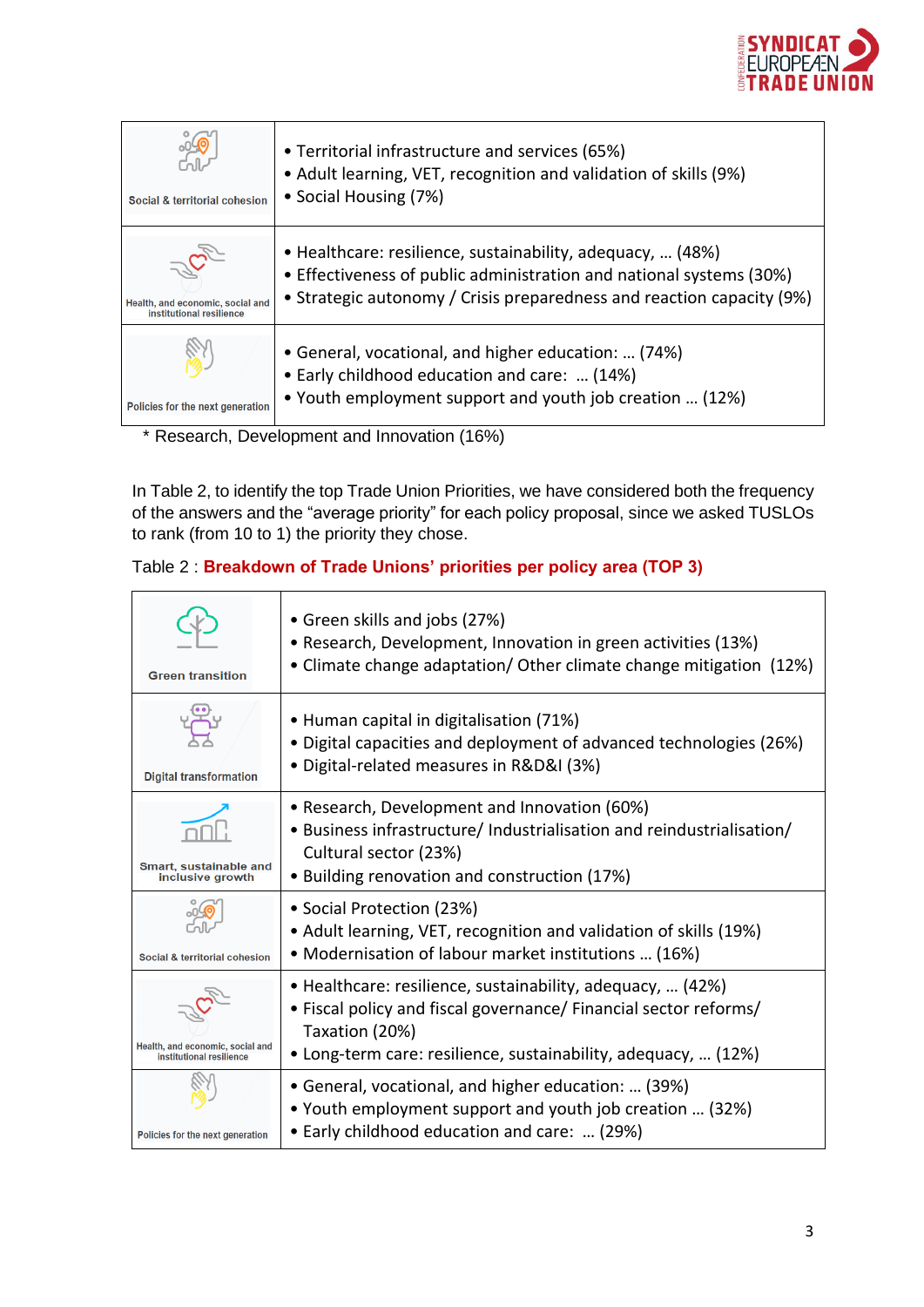

| Social & territorial cohesion                                | • Territorial infrastructure and services (65%)<br>• Adult learning, VET, recognition and validation of skills (9%)<br>• Social Housing (7%)                                                               |
|--------------------------------------------------------------|------------------------------------------------------------------------------------------------------------------------------------------------------------------------------------------------------------|
| Health, and economic, social and<br>institutional resilience | • Healthcare: resilience, sustainability, adequacy,  (48%)<br>• Effectiveness of public administration and national systems (30%)<br>• Strategic autonomy / Crisis preparedness and reaction capacity (9%) |
| Policies for the next generation                             | • General, vocational, and higher education:  (74%)<br>• Early childhood education and care:  (14%)<br>• Youth employment support and youth job creation  (12%)                                            |

\* Research, Development and Innovation (16%)

In Table 2, to identify the top Trade Union Priorities, we have considered both the frequency of the answers and the "average priority" for each policy proposal, since we asked TUSLOs to rank (from 10 to 1) the priority they chose.

# Table 2 : **Breakdown of Trade Unions' priorities per policy area (TOP 3)**

| <b>Green transition</b>                                      | • Green skills and jobs (27%)<br>• Research, Development, Innovation in green activities (13%)<br>• Climate change adaptation/ Other climate change mitigation (12%)                                               |
|--------------------------------------------------------------|--------------------------------------------------------------------------------------------------------------------------------------------------------------------------------------------------------------------|
| <b>Digital transformation</b>                                | • Human capital in digitalisation (71%)<br>• Digital capacities and deployment of advanced technologies (26%)<br>• Digital-related measures in R&D&I (3%)                                                          |
| Smart, sustainable and<br>inclusive growth                   | • Research, Development and Innovation (60%)<br>• Business infrastructure/ Industrialisation and reindustrialisation/<br>Cultural sector (23%)<br>• Building renovation and construction (17%)                     |
| Social & territorial cohesion                                | • Social Protection (23%)<br>• Adult learning, VET, recognition and validation of skills (19%)<br>• Modernisation of labour market institutions  (16%)                                                             |
| Health, and economic, social and<br>institutional resilience | • Healthcare: resilience, sustainability, adequacy,  (42%)<br>• Fiscal policy and fiscal governance/ Financial sector reforms/<br>Taxation (20%)<br>• Long-term care: resilience, sustainability, adequacy,  (12%) |
| Policies for the next generation                             | • General, vocational, and higher education:  (39%)<br>• Youth employment support and youth job creation  (32%)<br>• Early childhood education and care:  (29%)                                                    |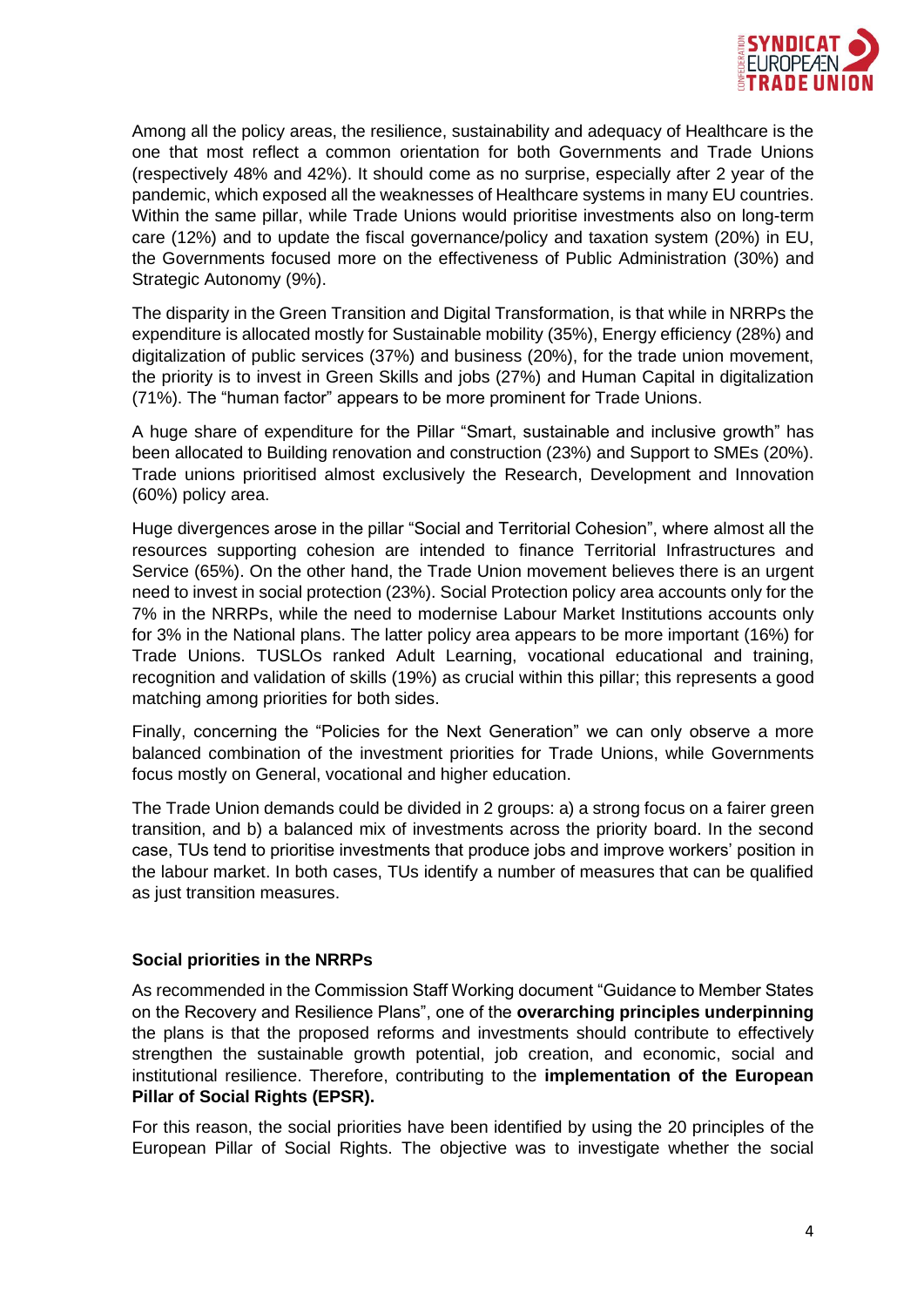

Among all the policy areas, the resilience, sustainability and adequacy of Healthcare is the one that most reflect a common orientation for both Governments and Trade Unions (respectively 48% and 42%). It should come as no surprise, especially after 2 year of the pandemic, which exposed all the weaknesses of Healthcare systems in many EU countries. Within the same pillar, while Trade Unions would prioritise investments also on long-term care (12%) and to update the fiscal governance/policy and taxation system (20%) in EU, the Governments focused more on the effectiveness of Public Administration (30%) and Strategic Autonomy (9%).

The disparity in the Green Transition and Digital Transformation, is that while in NRRPs the expenditure is allocated mostly for Sustainable mobility (35%), Energy efficiency (28%) and digitalization of public services (37%) and business (20%), for the trade union movement, the priority is to invest in Green Skills and jobs (27%) and Human Capital in digitalization (71%). The "human factor" appears to be more prominent for Trade Unions.

A huge share of expenditure for the Pillar "Smart, sustainable and inclusive growth" has been allocated to Building renovation and construction (23%) and Support to SMEs (20%). Trade unions prioritised almost exclusively the Research, Development and Innovation (60%) policy area.

Huge divergences arose in the pillar "Social and Territorial Cohesion", where almost all the resources supporting cohesion are intended to finance Territorial Infrastructures and Service (65%). On the other hand, the Trade Union movement believes there is an urgent need to invest in social protection (23%). Social Protection policy area accounts only for the 7% in the NRRPs, while the need to modernise Labour Market Institutions accounts only for 3% in the National plans. The latter policy area appears to be more important (16%) for Trade Unions. TUSLOs ranked Adult Learning, vocational educational and training, recognition and validation of skills (19%) as crucial within this pillar; this represents a good matching among priorities for both sides.

Finally, concerning the "Policies for the Next Generation" we can only observe a more balanced combination of the investment priorities for Trade Unions, while Governments focus mostly on General, vocational and higher education.

The Trade Union demands could be divided in 2 groups: a) a strong focus on a fairer green transition, and b) a balanced mix of investments across the priority board. In the second case, TUs tend to prioritise investments that produce jobs and improve workers' position in the labour market. In both cases, TUs identify a number of measures that can be qualified as just transition measures.

#### **Social priorities in the NRRPs**

As recommended in the Commission Staff Working document "Guidance to Member States on the Recovery and Resilience Plans", one of the **overarching principles underpinning** the plans is that the proposed reforms and investments should contribute to effectively strengthen the sustainable growth potential, job creation, and economic, social and institutional resilience. Therefore, contributing to the **implementation of the European Pillar of Social Rights (EPSR).**

For this reason, the social priorities have been identified by using the 20 principles of the European Pillar of Social Rights. The objective was to investigate whether the social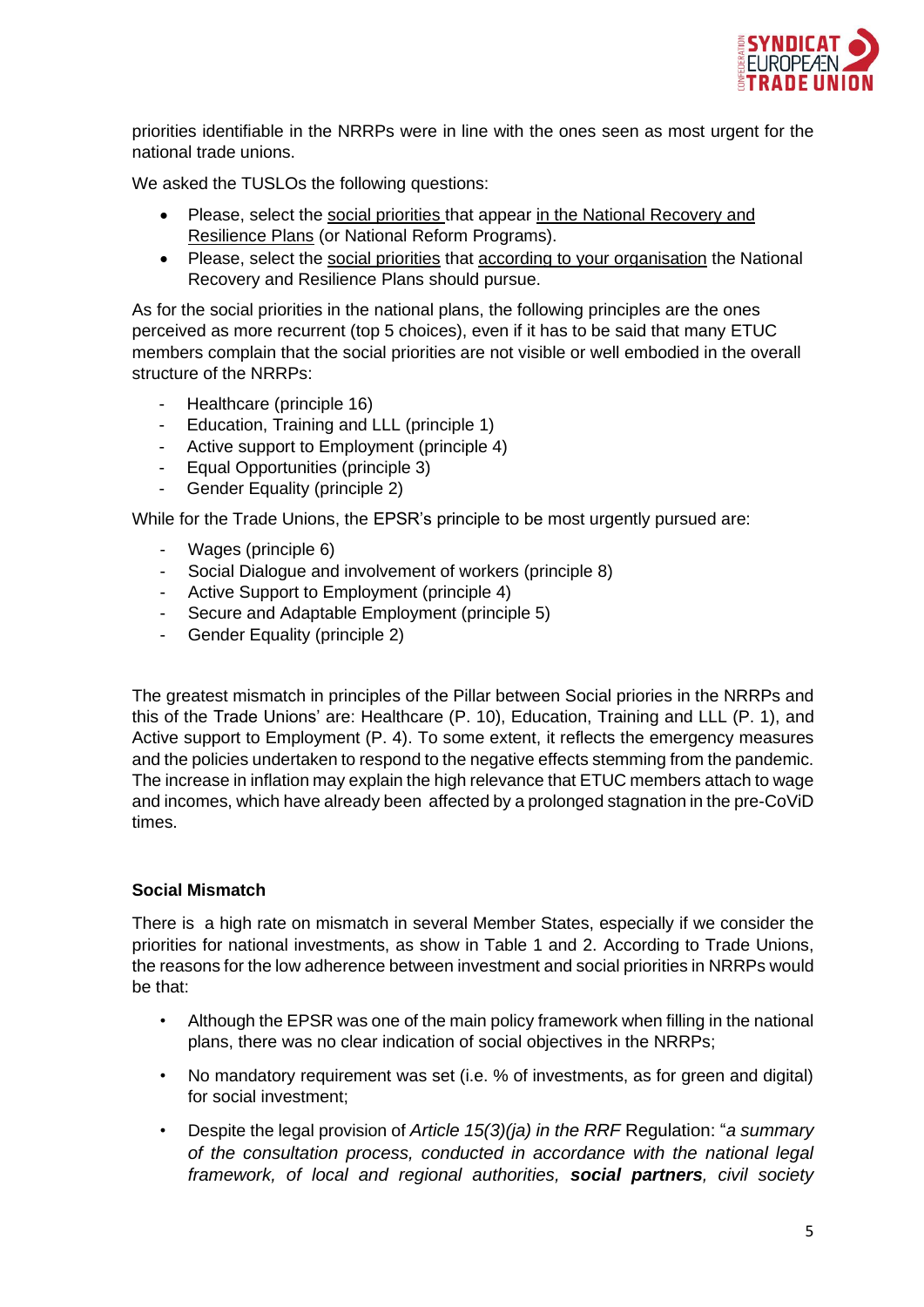

priorities identifiable in the NRRPs were in line with the ones seen as most urgent for the national trade unions.

We asked the TUSLOs the following questions:

- Please, select the social priorities that appear in the National Recovery and Resilience Plans (or National Reform Programs).
- Please, select the social priorities that according to your organisation the National Recovery and Resilience Plans should pursue.

As for the social priorities in the national plans, the following principles are the ones perceived as more recurrent (top 5 choices), even if it has to be said that many ETUC members complain that the social priorities are not visible or well embodied in the overall structure of the NRRPs:

- Healthcare (principle 16)
- Education, Training and LLL (principle 1)
- Active support to Employment (principle 4)
- Equal Opportunities (principle 3)
- Gender Equality (principle 2)

While for the Trade Unions, the EPSR's principle to be most urgently pursued are:

- Wages (principle 6)
- Social Dialogue and involvement of workers (principle 8)
- Active Support to Employment (principle 4)
- Secure and Adaptable Employment (principle 5)
- Gender Equality (principle 2)

The greatest mismatch in principles of the Pillar between Social priories in the NRRPs and this of the Trade Unions' are: Healthcare (P. 10), Education, Training and LLL (P. 1), and Active support to Employment (P. 4). To some extent, it reflects the emergency measures and the policies undertaken to respond to the negative effects stemming from the pandemic. The increase in inflation may explain the high relevance that ETUC members attach to wage and incomes, which have already been affected by a prolonged stagnation in the pre-CoViD times.

#### **Social Mismatch**

There is a high rate on mismatch in several Member States, especially if we consider the priorities for national investments, as show in Table 1 and 2. According to Trade Unions, the reasons for the low adherence between investment and social priorities in NRRPs would be that:

- Although the EPSR was one of the main policy framework when filling in the national plans, there was no clear indication of social objectives in the NRRPs;
- No mandatory requirement was set (i.e. % of investments, as for green and digital) for social investment;
- Despite the legal provision of *Article 15(3)(ja) in the RRF* Regulation: "*a summary of the consultation process, conducted in accordance with the national legal framework, of local and regional authorities, social partners, civil society*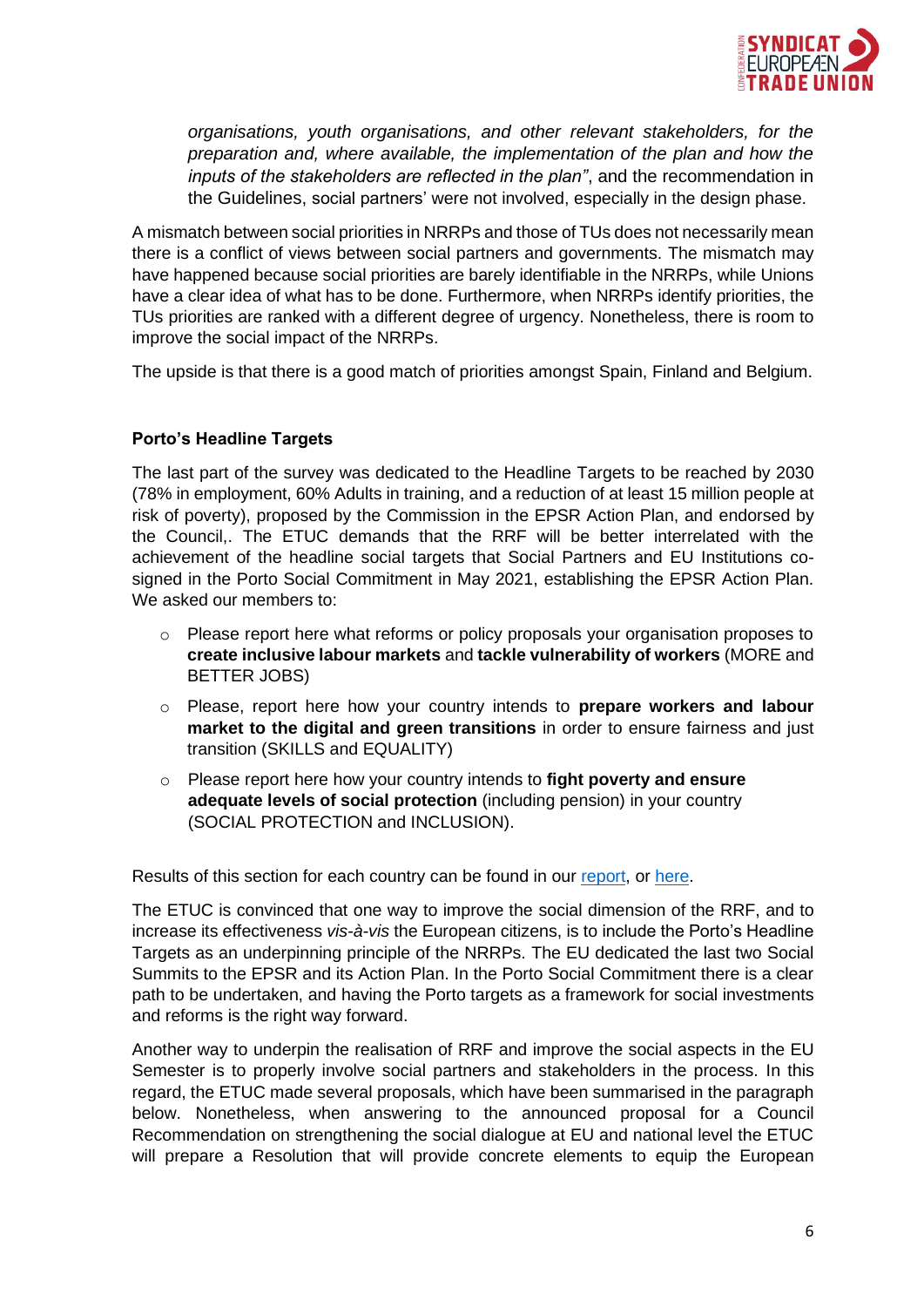

*organisations, youth organisations, and other relevant stakeholders, for the preparation and, where available, the implementation of the plan and how the inputs of the stakeholders are reflected in the plan"*, and the recommendation in the Guidelines, social partners' were not involved, especially in the design phase.

A mismatch between social priorities in NRRPs and those of TUs does not necessarily mean there is a conflict of views between social partners and governments. The mismatch may have happened because social priorities are barely identifiable in the NRRPs, while Unions have a clear idea of what has to be done. Furthermore, when NRRPs identify priorities, the TUs priorities are ranked with a different degree of urgency. Nonetheless, there is room to improve the social impact of the NRRPs.

The upside is that there is a good match of priorities amongst Spain, Finland and Belgium.

## **Porto's Headline Targets**

The last part of the survey was dedicated to the Headline Targets to be reached by 2030 (78% in employment, 60% Adults in training, and a reduction of at least 15 million people at risk of poverty), proposed by the Commission in the EPSR Action Plan, and endorsed by the Council,. The ETUC demands that the RRF will be better interrelated with the achievement of the headline social targets that Social Partners and EU Institutions cosigned in the Porto Social Commitment in May 2021, establishing the EPSR Action Plan. We asked our members to:

- o Please report here what reforms or policy proposals your organisation proposes to **create inclusive labour markets** and **tackle vulnerability of workers** (MORE and BETTER JOBS)
- o Please, report here how your country intends to **prepare workers and labour market to the digital and green transitions** in order to ensure fairness and just transition (SKILLS and EQUALITY)
- o Please report here how your country intends to **fight poverty and ensure adequate levels of social protection** (including pension) in your country (SOCIAL PROTECTION and INCLUSION).

Results of this section for each country can be found in our [report,](https://est.etuc.org/wp-content/uploads/2022/06/ETUC-inputs-Spring-Package-2022_v1.pdf) or [here.](https://est.etuc.org/toolkit/sitePages/Psrlist)

The ETUC is convinced that one way to improve the social dimension of the RRF, and to increase its effectiveness *vis-à-vis* the European citizens, is to include the Porto's Headline Targets as an underpinning principle of the NRRPs. The EU dedicated the last two Social Summits to the EPSR and its Action Plan. In the Porto Social Commitment there is a clear path to be undertaken, and having the Porto targets as a framework for social investments and reforms is the right way forward.

Another way to underpin the realisation of RRF and improve the social aspects in the EU Semester is to properly involve social partners and stakeholders in the process. In this regard, the ETUC made several proposals, which have been summarised in the paragraph below. Nonetheless, when answering to the announced proposal for a Council Recommendation on strengthening the social dialogue at EU and national level the ETUC will prepare a Resolution that will provide concrete elements to equip the European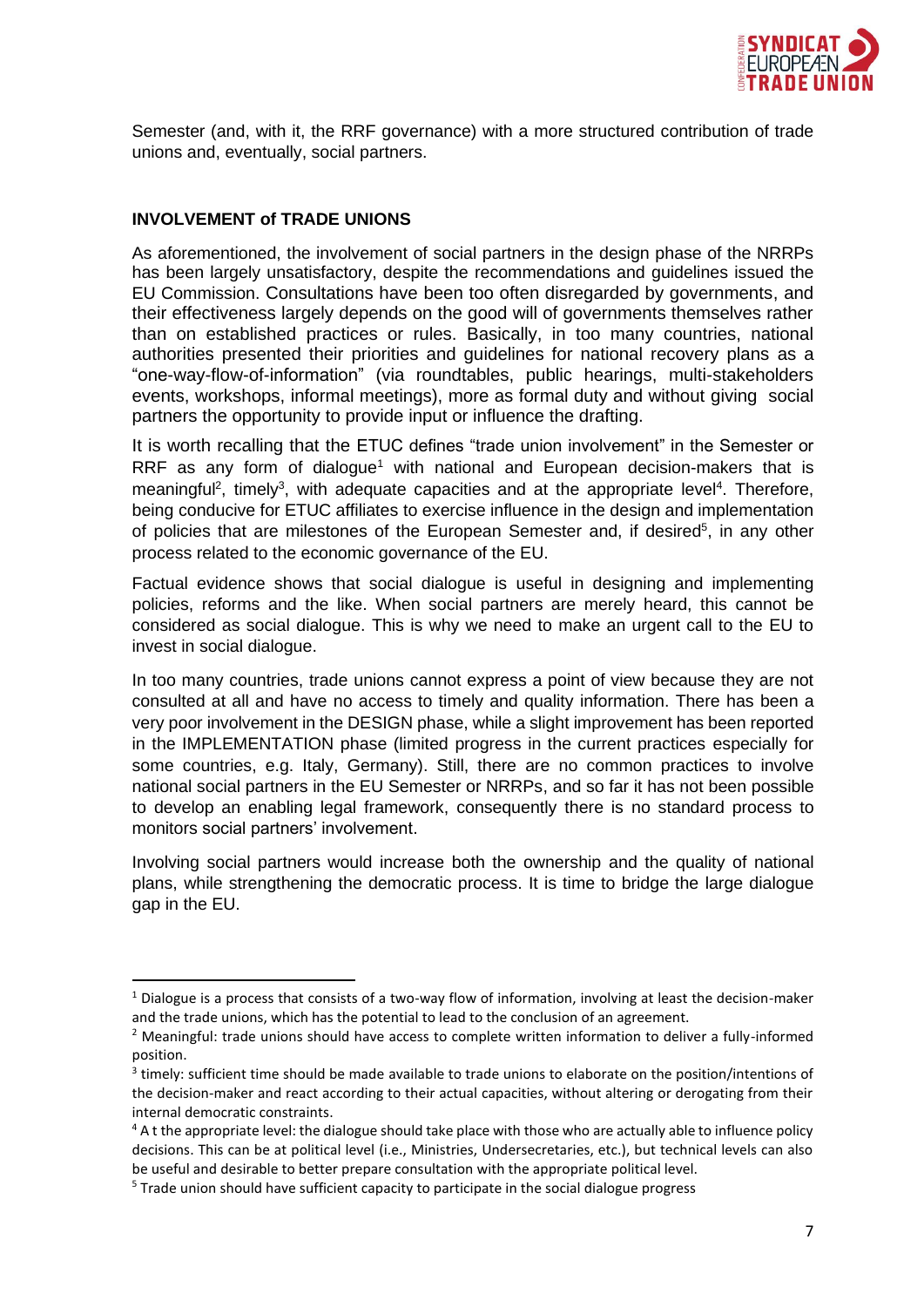

Semester (and, with it, the RRF governance) with a more structured contribution of trade unions and, eventually, social partners.

#### **INVOLVEMENT of TRADE UNIONS**

As aforementioned, the involvement of social partners in the design phase of the NRRPs has been largely unsatisfactory, despite the recommendations and guidelines issued the EU Commission. Consultations have been too often disregarded by governments, and their effectiveness largely depends on the good will of governments themselves rather than on established practices or rules. Basically, in too many countries, national authorities presented their priorities and guidelines for national recovery plans as a "one-way-flow-of-information" (via roundtables, public hearings, multi-stakeholders events, workshops, informal meetings), more as formal duty and without giving social partners the opportunity to provide input or influence the drafting.

It is worth recalling that the ETUC defines "trade union involvement" in the Semester or RRF as any form of dialogue<sup>1</sup> with national and European decision-makers that is meaningful<sup>2</sup>, timely<sup>3</sup>, with adequate capacities and at the appropriate level<sup>4</sup>. Therefore, being conducive for ETUC affiliates to exercise influence in the design and implementation of policies that are milestones of the European Semester and, if desired<sup>5</sup>, in any other process related to the economic governance of the EU.

Factual evidence shows that social dialogue is useful in designing and implementing policies, reforms and the like. When social partners are merely heard, this cannot be considered as social dialogue. This is why we need to make an urgent call to the EU to invest in social dialogue.

In too many countries, trade unions cannot express a point of view because they are not consulted at all and have no access to timely and quality information. There has been a very poor involvement in the DESIGN phase, while a slight improvement has been reported in the IMPLEMENTATION phase (limited progress in the current practices especially for some countries, e.g. Italy, Germany). Still, there are no common practices to involve national social partners in the EU Semester or NRRPs, and so far it has not been possible to develop an enabling legal framework, consequently there is no standard process to monitors social partners' involvement.

Involving social partners would increase both the ownership and the quality of national plans, while strengthening the democratic process. It is time to bridge the large dialogue gap in the EU.

 $1$  Dialogue is a process that consists of a two-way flow of information, involving at least the decision-maker and the trade unions, which has the potential to lead to the conclusion of an agreement.

<sup>&</sup>lt;sup>2</sup> Meaningful: trade unions should have access to complete written information to deliver a fully-informed position.

<sup>&</sup>lt;sup>3</sup> timely: sufficient time should be made available to trade unions to elaborate on the position/intentions of the decision-maker and react according to their actual capacities, without altering or derogating from their internal democratic constraints.

<sup>&</sup>lt;sup>4</sup> A t the appropriate level: the dialogue should take place with those who are actually able to influence policy decisions. This can be at political level (i.e., Ministries, Undersecretaries, etc.), but technical levels can also be useful and desirable to better prepare consultation with the appropriate political level.

<sup>&</sup>lt;sup>5</sup> Trade union should have sufficient capacity to participate in the social dialogue progress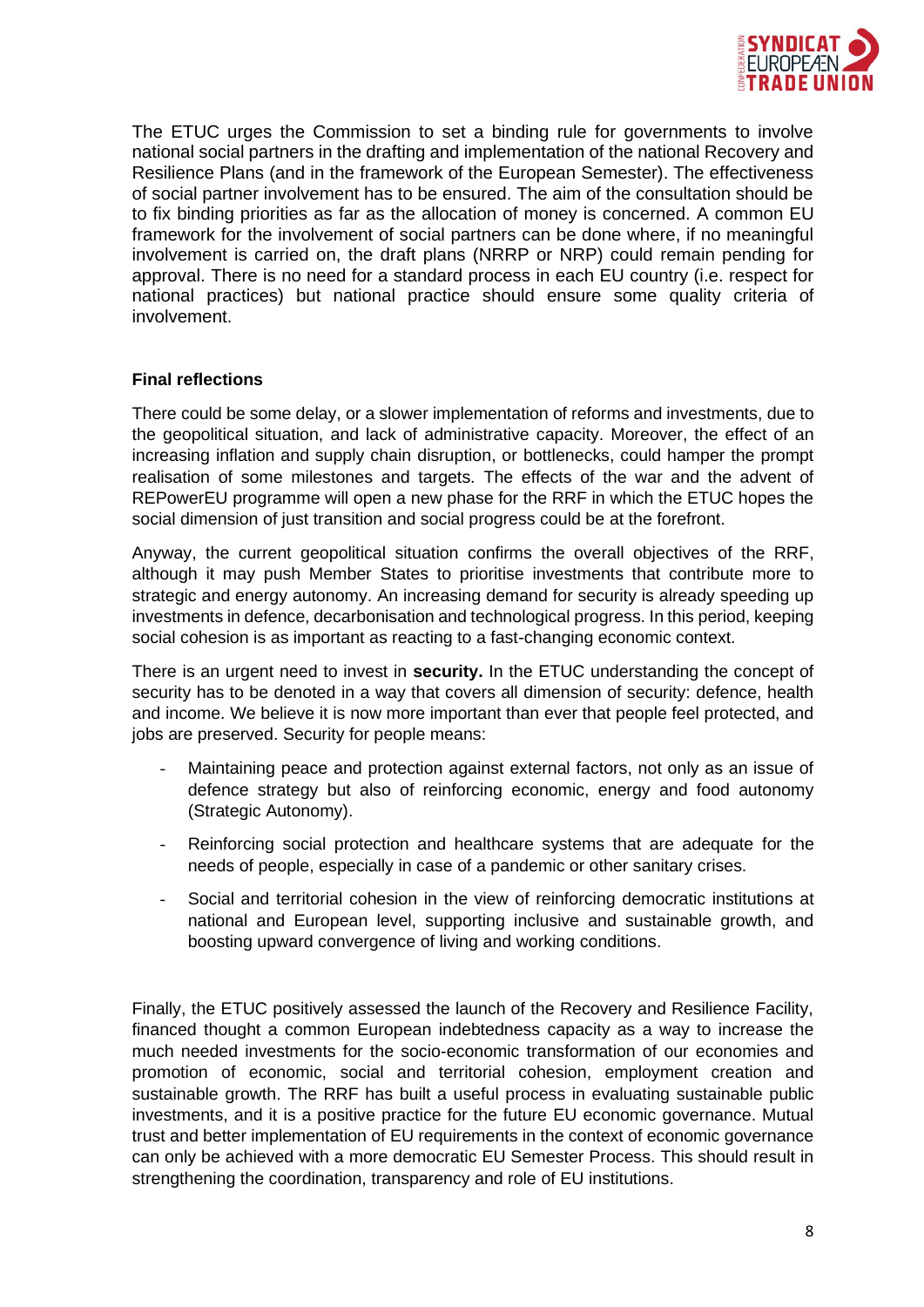

The ETUC urges the Commission to set a binding rule for governments to involve national social partners in the drafting and implementation of the national Recovery and Resilience Plans (and in the framework of the European Semester). The effectiveness of social partner involvement has to be ensured. The aim of the consultation should be to fix binding priorities as far as the allocation of money is concerned. A common EU framework for the involvement of social partners can be done where, if no meaningful involvement is carried on, the draft plans (NRRP or NRP) could remain pending for approval. There is no need for a standard process in each EU country (i.e. respect for national practices) but national practice should ensure some quality criteria of involvement.

#### **Final reflections**

There could be some delay, or a slower implementation of reforms and investments, due to the geopolitical situation, and lack of administrative capacity. Moreover, the effect of an increasing inflation and supply chain disruption, or bottlenecks, could hamper the prompt realisation of some milestones and targets. The effects of the war and the advent of REPowerEU programme will open a new phase for the RRF in which the ETUC hopes the social dimension of just transition and social progress could be at the forefront.

Anyway, the current geopolitical situation confirms the overall objectives of the RRF, although it may push Member States to prioritise investments that contribute more to strategic and energy autonomy. An increasing demand for security is already speeding up investments in defence, decarbonisation and technological progress. In this period, keeping social cohesion is as important as reacting to a fast-changing economic context.

There is an urgent need to invest in **security.** In the ETUC understanding the concept of security has to be denoted in a way that covers all dimension of security: defence, health and income. We believe it is now more important than ever that people feel protected, and jobs are preserved. Security for people means:

- Maintaining peace and protection against external factors, not only as an issue of defence strategy but also of reinforcing economic, energy and food autonomy (Strategic Autonomy).
- Reinforcing social protection and healthcare systems that are adequate for the needs of people, especially in case of a pandemic or other sanitary crises.
- Social and territorial cohesion in the view of reinforcing democratic institutions at national and European level, supporting inclusive and sustainable growth, and boosting upward convergence of living and working conditions.

Finally, the ETUC positively assessed the launch of the Recovery and Resilience Facility, financed thought a common European indebtedness capacity as a way to increase the much needed investments for the socio-economic transformation of our economies and promotion of economic, social and territorial cohesion, employment creation and sustainable growth. The RRF has built a useful process in evaluating sustainable public investments, and it is a positive practice for the future EU economic governance. Mutual trust and better implementation of EU requirements in the context of economic governance can only be achieved with a more democratic EU Semester Process. This should result in strengthening the coordination, transparency and role of EU institutions.